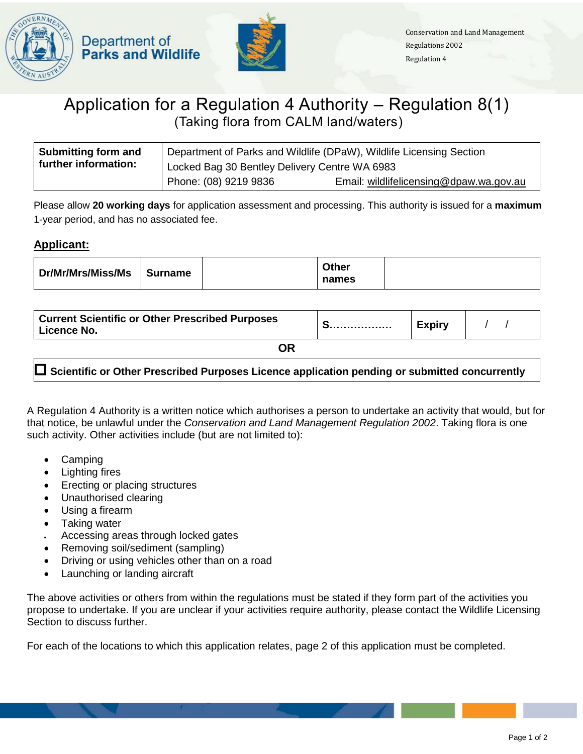



## Application for a Regulation 4 Authority – Regulation 8(1) (Taking flora from CALM land/waters)

| Submitting form and  | Department of Parks and Wildlife (DPaW), Wildlife Licensing Section |                                         |  |
|----------------------|---------------------------------------------------------------------|-----------------------------------------|--|
| further information: | Locked Bag 30 Bentley Delivery Centre WA 6983                       |                                         |  |
|                      | Phone: (08) 9219 9836                                               | Email: wildlifelicensing@dpaw.wa.gov.au |  |

Please allow **20 working days** for application assessment and processing. This authority is issued for a **maximum**  1-year period, and has no associated fee.

## **Applicant:**

| Dr/Mr/Mrs/Miss/Ms | <b>Surname</b> | <b>Other</b><br>names |  |
|-------------------|----------------|-----------------------|--|
|                   |                |                       |  |

| <b>Current Scientific or Other Prescribed Purposes</b><br>Licence No. | _____________________ | <b>Expiry</b> |  |
|-----------------------------------------------------------------------|-----------------------|---------------|--|
| <b>OR</b>                                                             |                       |               |  |

**Scientific or Other Prescribed Purposes Licence application pending or submitted concurrently**

A Regulation 4 Authority is a written notice which authorises a person to undertake an activity that would, but for that notice, be unlawful under the *Conservation and Land Management Regulation 2002*. Taking flora is one such activity. Other activities include (but are not limited to):

- Camping
- Lighting fires
- Erecting or placing structures
- Unauthorised clearing
- Using a firearm
- Taking water
- Accessing areas through locked gates
- Removing soil/sediment (sampling)
- Driving or using vehicles other than on a road
- Launching or landing aircraft

The above activities or others from within the regulations must be stated if they form part of the activities you propose to undertake. If you are unclear if your activities require authority, please contact the Wildlife Licensing Section to discuss further.

For each of the locations to which this application relates, page 2 of this application must be completed.